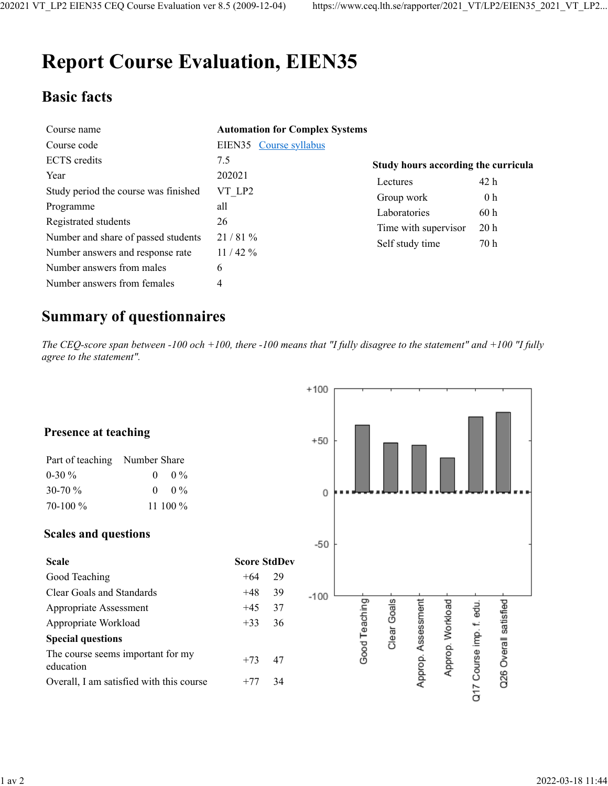# **Report Course Evaluation, EIEN35**

## **Basic facts**

| Course name                          | <b>Automation for Complex Systems</b> |                                     |                 |
|--------------------------------------|---------------------------------------|-------------------------------------|-----------------|
| Course code                          | EIEN35 Course syllabus                |                                     |                 |
| <b>ECTS</b> credits                  | 7.5                                   | Study hours according the curricula |                 |
| Year                                 | 202021                                | Lectures                            | 42 h            |
| Study period the course was finished | VT LP2                                | Group work                          | 0 <sub>h</sub>  |
| Programme                            | all                                   | Laboratories                        | 60h             |
| Registrated students                 | 26                                    | Time with supervisor                | 20 <sub>h</sub> |
| Number and share of passed students  | 21/81%                                | Self study time                     | 70 h            |
| Number answers and response rate     | 11/42%                                |                                     |                 |
| Number answers from males            | 6                                     |                                     |                 |
| Number answers from females          | 4                                     |                                     |                 |

### **Summary of questionnaires**

*The CEQ-score span between -100 och +100, there -100 means that "I fully disagree to the statement" and +100 "I fully agree to the statement".*